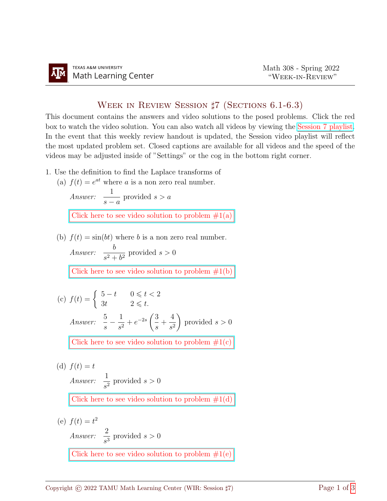## Week in Review Session ♯7 (Sections 6.1-6.3)

This document contains the answers and video solutions to the posed problems. Click the red box to watch the video solution. You can also watch all videos by viewing the [Session 7 playlist.](https://www.youtube.com/playlist?list=PLwFg2cC3rFdlK01jRD5fUZIcQvtb0B4f1) In the event that this weekly review handout is updated, the Session video playlist will reflect the most updated problem set. Closed captions are available for all videos and the speed of the videos may be adjusted inside of "Settings" or the cog in the bottom right corner.

- 1. Use the definition to find the Laplace transforms of
	- (a)  $f(t) = e^{at}$  where a is a non zero real number.

Answer: 
$$
\frac{1}{s-a}
$$
 provided  $s > a$   
Click here to see video solution to problem #1(a)

(b)  $f(t) = \sin(bt)$  where b is a non zero real number.

Answer:  $\frac{b}{2}$  $\frac{6}{s^2 + b^2}$  provided  $s > 0$ 

Click here to see video solution to problem  $\#1(b)$ 

(c) 
$$
f(t) = \begin{cases} 5-t & 0 \leq t < 2 \\ 3t & 2 \leq t. \end{cases}
$$
  
Answer: 
$$
\frac{5}{s} - \frac{1}{s^2} + e^{-2s} \left( \frac{3}{s} + \frac{4}{s^2} \right)
$$
 provided  $s > 0$   
Click here to see video solution to problem #1(c)

(d)  $f(t) = t$ Answer:  $\frac{1}{4}$  $\frac{1}{s^2}$  provided  $s > 0$ 

Click here to see video solution to problem  $\#1(d)$ 

(e)  $f(t) = t^2$ Answer:  $\frac{2}{4}$  $\frac{2}{s^3}$  provided  $s > 0$ 

Click here to see video solution to problem  $#1(e)$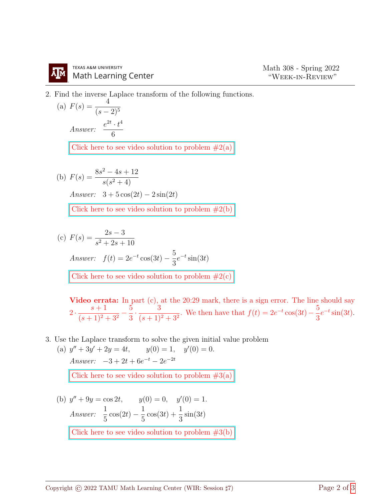## **TEXAS A&M UNIVERSITY Math Learning Center**

2. Find the inverse Laplace transform of the following functions.

(a) 
$$
F(s) = \frac{4}{(s-2)^5}
$$
  
Answer:  $\frac{e^{2t} \cdot t^4}{6}$ 

Click here to see video solution to problem  $#2(a)$ 

(b) 
$$
F(s) = \frac{8s^2 - 4s + 12}{s(s^2 + 4)}
$$
  
Answer: 
$$
3 + 5\cos(2t) - 2\sin(2t)
$$
  
Click here to see video solution to problem #2(b)

(c) 
$$
F(s) = \frac{2s - 3}{s^2 + 2s + 10}
$$
  
\nAnswer:  $f(t) = 2e^{-t} \cos(3t) - \frac{5}{3}e^{-t} \sin(3t)$   
\nClick here to see video solution to problem #2(c)

Video errata: In part (c), at the 20:29 mark, there is a sign error. The line should say  $2 \cdot \frac{s+1}{(s+1)^2}$  $(s + 1)^2 + 3^2$  $-\frac{5}{5}$ 3  $\cdot \frac{3}{\sqrt{11}}$  $\frac{3}{(s+1)^2+3^2}$ . We then have that  $f(t) = 2e^{-t}\cos(3t) - \frac{5}{3}$ 3  $e^{-t}\sin(3t)$ .

3. Use the Laplace transform to solve the given initial value problem

(a)  $y'' + 3y' + 2y = 4t$ ,  $y(0) = 1$ ,  $y'$  $y'(0) = 0.$ Answer:  $-3 + 2t + 6e^{-t} - 2e^{-2t}$ 

Click here to see video solution to problem  $#3(a)$ 

(b)  $y'' + 9y = \cos 2t$ ,  $y(0) = 0$ ,  $y'(0) = 1$ . Answer:  $\frac{1}{5}$ 5  $\cos(2t) - \frac{1}{5}$ 5  $cos(3t) + \frac{1}{2}$ 3  $\sin(3t)$ [Click here to see video solution to problem #3\(b\)](https://youtu.be/Veq_XU7qb1E?t=1219)